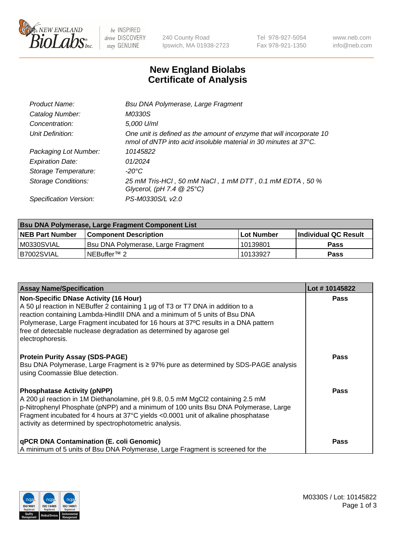

 $be$  INSPIRED drive DISCOVERY stay GENUINE

240 County Road Ipswich, MA 01938-2723 Tel 978-927-5054 Fax 978-921-1350 www.neb.com info@neb.com

## **New England Biolabs Certificate of Analysis**

| Product Name:              | Bsu DNA Polymerase, Large Fragment                                                                                                       |
|----------------------------|------------------------------------------------------------------------------------------------------------------------------------------|
| Catalog Number:            | M0330S                                                                                                                                   |
| Concentration:             | 5,000 U/ml                                                                                                                               |
| Unit Definition:           | One unit is defined as the amount of enzyme that will incorporate 10<br>nmol of dNTP into acid insoluble material in 30 minutes at 37°C. |
| Packaging Lot Number:      | 10145822                                                                                                                                 |
| <b>Expiration Date:</b>    | 01/2024                                                                                                                                  |
| Storage Temperature:       | $-20^{\circ}$ C                                                                                                                          |
| <b>Storage Conditions:</b> | 25 mM Tris-HCl, 50 mM NaCl, 1 mM DTT, 0.1 mM EDTA, 50 %<br>Glycerol, (pH 7.4 $@25°C$ )                                                   |
| Specification Version:     | PS-M0330S/L v2.0                                                                                                                         |

| Bsu DNA Polymerase, Large Fragment Component List |                                    |                   |                      |  |  |
|---------------------------------------------------|------------------------------------|-------------------|----------------------|--|--|
| <b>NEB Part Number</b>                            | Component Description_             | <b>Lot Number</b> | Individual QC Result |  |  |
| I M0330SVIAL                                      | Bsu DNA Polymerase, Large Fragment | 10139801          | <b>Pass</b>          |  |  |
| B7002SVIAL                                        | INEBuffer™ 2_                      | 10133927          | <b>Pass</b>          |  |  |

| <b>Assay Name/Specification</b>                                                                                                                                                                                                                                                                                                                                                                 | Lot #10145822 |
|-------------------------------------------------------------------------------------------------------------------------------------------------------------------------------------------------------------------------------------------------------------------------------------------------------------------------------------------------------------------------------------------------|---------------|
| <b>Non-Specific DNase Activity (16 Hour)</b><br>A 50 µl reaction in NEBuffer 2 containing 1 µg of T3 or T7 DNA in addition to a<br>reaction containing Lambda-HindIII DNA and a minimum of 5 units of Bsu DNA<br>Polymerase, Large Fragment incubated for 16 hours at 37°C results in a DNA pattern<br>free of detectable nuclease degradation as determined by agarose gel<br>electrophoresis. | Pass          |
| <b>Protein Purity Assay (SDS-PAGE)</b><br>Bsu DNA Polymerase, Large Fragment is ≥ 97% pure as determined by SDS-PAGE analysis<br>using Coomassie Blue detection.                                                                                                                                                                                                                                | <b>Pass</b>   |
| <b>Phosphatase Activity (pNPP)</b><br>A 200 µl reaction in 1M Diethanolamine, pH 9.8, 0.5 mM MgCl2 containing 2.5 mM<br>p-Nitrophenyl Phosphate (pNPP) and a minimum of 100 units Bsu DNA Polymerase, Large<br>Fragment incubated for 4 hours at 37°C yields <0.0001 unit of alkaline phosphatase<br>activity as determined by spectrophotometric analysis.                                     | Pass          |
| <b>qPCR DNA Contamination (E. coli Genomic)</b><br>A minimum of 5 units of Bsu DNA Polymerase, Large Fragment is screened for the                                                                                                                                                                                                                                                               | Pass          |

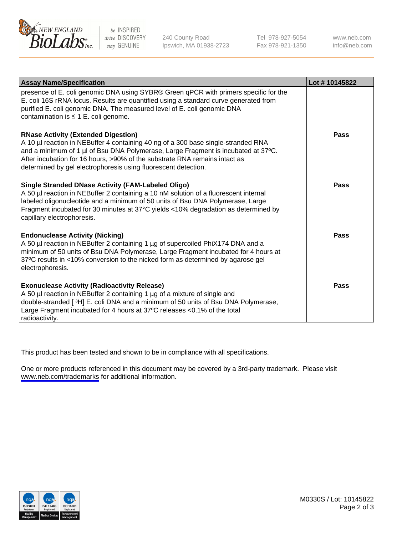

be INSPIRED drive DISCOVERY stay GENUINE

240 County Road Ipswich, MA 01938-2723 Tel 978-927-5054 Fax 978-921-1350

www.neb.com info@neb.com

| <b>Assay Name/Specification</b>                                                                                                                                                                                                                                                                                                                                      | Lot #10145822 |
|----------------------------------------------------------------------------------------------------------------------------------------------------------------------------------------------------------------------------------------------------------------------------------------------------------------------------------------------------------------------|---------------|
| presence of E. coli genomic DNA using SYBR® Green qPCR with primers specific for the<br>E. coli 16S rRNA locus. Results are quantified using a standard curve generated from<br>purified E. coli genomic DNA. The measured level of E. coli genomic DNA<br>contamination is ≤ 1 E. coli genome.                                                                      |               |
| <b>RNase Activity (Extended Digestion)</b><br>A 10 µl reaction in NEBuffer 4 containing 40 ng of a 300 base single-stranded RNA<br>and a minimum of 1 µl of Bsu DNA Polymerase, Large Fragment is incubated at 37°C.<br>After incubation for 16 hours, >90% of the substrate RNA remains intact as<br>determined by gel electrophoresis using fluorescent detection. | Pass          |
| Single Stranded DNase Activity (FAM-Labeled Oligo)<br>A 50 µl reaction in NEBuffer 2 containing a 10 nM solution of a fluorescent internal<br>labeled oligonucleotide and a minimum of 50 units of Bsu DNA Polymerase, Large<br>Fragment incubated for 30 minutes at 37°C yields <10% degradation as determined by<br>capillary electrophoresis.                     | Pass          |
| <b>Endonuclease Activity (Nicking)</b><br>A 50 µl reaction in NEBuffer 2 containing 1 µg of supercoiled PhiX174 DNA and a<br>minimum of 50 units of Bsu DNA Polymerase, Large Fragment incubated for 4 hours at<br>37°C results in <10% conversion to the nicked form as determined by agarose gel<br>electrophoresis.                                               | Pass          |
| <b>Exonuclease Activity (Radioactivity Release)</b><br>A 50 µl reaction in NEBuffer 2 containing 1 µg of a mixture of single and<br>double-stranded [3H] E. coli DNA and a minimum of 50 units of Bsu DNA Polymerase,<br>Large Fragment incubated for 4 hours at 37°C releases <0.1% of the total<br>radioactivity.                                                  | <b>Pass</b>   |

This product has been tested and shown to be in compliance with all specifications.

One or more products referenced in this document may be covered by a 3rd-party trademark. Please visit <www.neb.com/trademarks>for additional information.